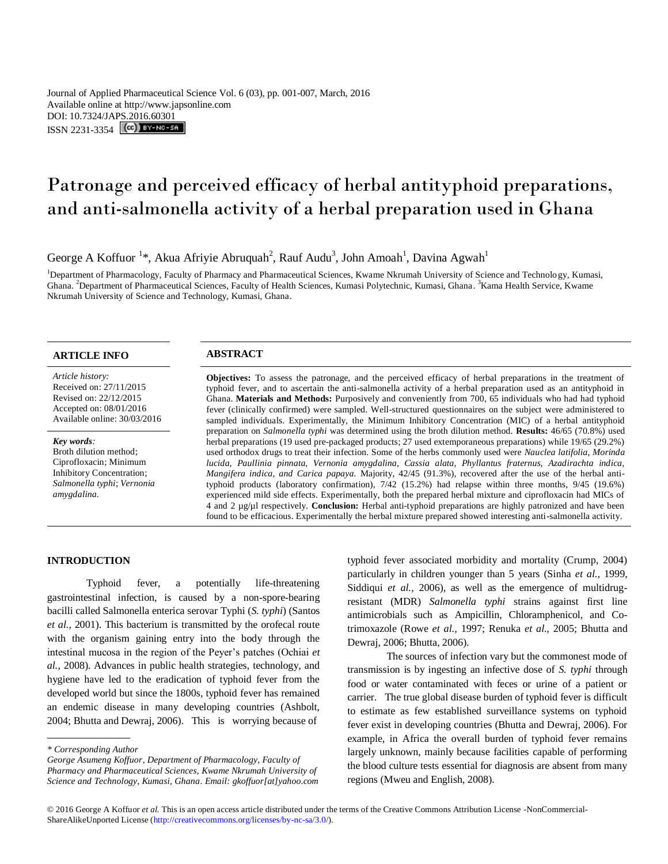Journal of Applied Pharmaceutical Science Vol. 6 (03), pp. 001-007, March, 2016 Available online at http://www.japsonline.com DOI: 10.7324/JA[PS.2016.60301](http://creativecommons.org/licenses/by-nc-sa/3.0/) ISSN 2231-3354 **(cc)** BY-NO-SA

# Patronage and perceived efficacy of herbal antityphoid preparations, and anti-salmonella activity of a herbal preparation used in Ghana

George A Koffuor <sup>1\*</sup>, Akua Afriyie Abruquah<sup>2</sup>, Rauf Audu<sup>3</sup>, John Amoah<sup>1</sup>, Davina Agwah<sup>1</sup>

<sup>1</sup>Department of Pharmacology, Faculty of Pharmacy and Pharmaceutical Sciences, Kwame Nkrumah University of Science and Technology, Kumasi, Ghana. <sup>2</sup>Department of Pharmaceutical Sciences, Faculty of Health Sciences, Kumasi Polytechnic, Kumasi, Ghana. <sup>3</sup>Kama Health Service, Kwame Nkrumah University of Science and Technology, Kumasi, Ghana.

# **ARTICLE INFO ABSTRACT**

*Article history:* Received on: 27/11/2015 Revised on: 22/12/2015 Accepted on: 08/01/2016 Available online: 30/03/2016

#### *Key words:*

Broth dilution method; Ciprofloxacin; Minimum Inhibitory Concentration; *Salmonella typhi*; *Vernonia amygdalina.*

**Objectives:** To assess the patronage, and the perceived efficacy of herbal preparations in the treatment of typhoid fever, and to ascertain the anti-salmonella activity of a herbal preparation used as an antityphoid in Ghana. **Materials and Methods:** Purposively and conveniently from 700, 65 individuals who had had typhoid fever (clinically confirmed) were sampled. Well-structured questionnaires on the subject were administered to sampled individuals. Experimentally, the Minimum Inhibitory Concentration (MIC) of a herbal antityphoid preparation on *Salmonella typhi* was determined using the broth dilution method. **Results:** 46/65 (70.8%) used herbal preparations (19 used pre-packaged products; 27 used extemporaneous preparations) while 19/65 (29.2%) used orthodox drugs to treat their infection. Some of the herbs commonly used were *Nauclea latifolia, Morinda lucida, Paullinia pinnata, Vernonia amygdalina, Cassia alata, Phyllantus fraternus, Azadirachta indica, Mangifera indica, and Carica papaya.* Majority, 42/45 (91.3%), recovered after the use of the herbal antityphoid products (laboratory confirmation), 7/42 (15.2%) had relapse within three months, 9/45 (19.6%) experienced mild side effects. Experimentally, both the prepared herbal mixture and ciprofloxacin had MICs of 4 and 2 µg/µl respectively. **Conclusion:** Herbal anti-typhoid preparations are highly patronized and have been found to be efficacious. Experimentally the herbal mixture prepared showed interesting anti-salmonella activity.

# **INTRODUCTION**

Typhoid fever, a potentially life-threatening gastrointestinal infection, is caused by a non-spore-bearing bacilli called Salmonella enterica serovar Typhi (*S. typhi*) (Santos *et al.,* 2001). This bacterium is transmitted by the orofecal route with the organism gaining entry into the body through the intestinal mucosa in the region of the Peyer's patches (Ochiai *et al.,* 2008). Advances in public health strategies, technology, and hygiene have led to the eradication of typhoid fever from the developed world but since the 1800s, typhoid fever has remained an endemic disease in many developing countries (Ashbolt, 2004; Bhutta and Dewraj, 2006). This is worrying because of

*\* Corresponding Author George Asumeng Koffuor, Department of Pharmacology, Faculty of Pharmacy and Pharmaceutical Sciences, Kwame Nkrumah University of Science and Technology, Kumasi, Ghana. Email: gkoffuor[at]yahoo.com* typhoid fever associated morbidity and mortality (Crump, 2004) particularly in children younger than 5 years (Sinha *et al.,* 1999, Siddiqui *et al.*, 2006), as well as the emergence of multidrugresistant (MDR) *Salmonella typhi* strains against first line antimicrobials such as Ampicillin, Chloramphenicol, and Cotrimoxazole (Rowe *et al.,* 1997; Renuka *et al.,* 2005; Bhutta and Dewraj, 2006; Bhutta, 2006).

The sources of infection vary but the commonest mode of transmission is by ingesting an infective dose of *S. typhi* through food or water contaminated with feces or urine of a patient or carrier. The true global disease burden of typhoid fever is difficult to estimate as few established surveillance systems on typhoid fever exist in developing countries (Bhutta and Dewraj, 2006). For example, in Africa the overall burden of typhoid fever remains largely unknown, mainly because facilities capable of performing the blood culture tests essential for diagnosis are absent from many regions (Mweu and English, 2008).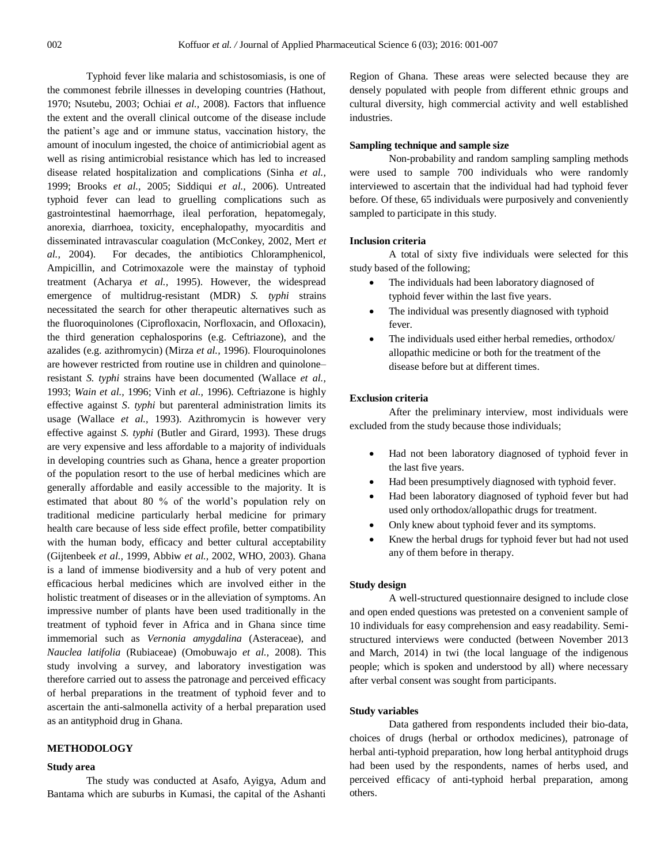Typhoid fever like malaria and schistosomiasis, is one of the commonest febrile illnesses in developing countries (Hathout, 1970; Nsutebu, 2003; Ochiai *et al.,* 2008). Factors that influence the extent and the overall clinical outcome of the disease include the patient's age and or immune status, vaccination history, the amount of inoculum ingested, the choice of antimicriobial agent as well as rising antimicrobial resistance which has led to increased disease related hospitalization and complications (Sinha *et al.,* 1999; Brooks *et al.,* 2005; Siddiqui *et al.,* 2006). Untreated typhoid fever can lead to gruelling complications such as gastrointestinal haemorrhage, ileal perforation, hepatomegaly, anorexia, diarrhoea, toxicity, encephalopathy, myocarditis and disseminated intravascular coagulation (McConkey, 2002, Mert *et al.,* 2004). For decades, the antibiotics Chloramphenicol, Ampicillin, and Cotrimoxazole were the mainstay of typhoid treatment (Acharya *et al.,* 1995). However, the widespread emergence of multidrug-resistant (MDR) *S. typhi* strains necessitated the search for other therapeutic alternatives such as the fluoroquinolones (Ciprofloxacin, Norfloxacin, and Ofloxacin), the third generation cephalosporins (e.g. Ceftriazone), and the azalides (e.g. azithromycin) (Mirza *et al.,* 1996). Flouroquinolones are however restricted from routine use in children and quinolone– resistant *S. typhi* strains have been documented (Wallace *et al.,* 1993; *Wain et al.,* 1996; Vinh *et al.,* 1996). Ceftriazone is highly effective against *S*. *typhi* but parenteral administration limits its usage (Wallace *et al.,* 1993). Azithromycin is however very effective against *S. typhi* (Butler and Girard, 1993). These drugs are very expensive and less affordable to a majority of individuals in developing countries such as Ghana, hence a greater proportion of the population resort to the use of herbal medicines which are generally affordable and easily accessible to the majority. It is estimated that about 80 % of the world's population rely on traditional medicine particularly herbal medicine for primary health care because of less side effect profile, better compatibility with the human body, efficacy and better cultural acceptability (Gijtenbeek *et al.,* 1999, Abbiw *et al.,* 2002, WHO, 2003). Ghana is a land of immense biodiversity and a hub of very potent and efficacious herbal medicines which are involved either in the holistic treatment of diseases or in the alleviation of symptoms. An impressive number of plants have been used traditionally in the treatment of typhoid fever in Africa and in Ghana since time immemorial such as *Vernonia amygdalina* (Asteraceae), and *Nauclea latifolia* (Rubiaceae) (Omobuwajo *et al.,* 2008). This study involving a survey, and laboratory investigation was therefore carried out to assess the patronage and perceived efficacy of herbal preparations in the treatment of typhoid fever and to ascertain the anti-salmonella activity of a herbal preparation used as an antityphoid drug in Ghana.

#### **METHODOLOGY**

#### **Study area**

The study was conducted at Asafo, Ayigya, Adum and Bantama which are suburbs in Kumasi, the capital of the Ashanti Region of Ghana. These areas were selected because they are densely populated with people from different ethnic groups and cultural diversity, high commercial activity and well established industries.

### **Sampling technique and sample size**

Non-probability and random sampling sampling methods were used to sample 700 individuals who were randomly interviewed to ascertain that the individual had had typhoid fever before. Of these, 65 individuals were purposively and conveniently sampled to participate in this study.

#### **Inclusion criteria**

A total of sixty five individuals were selected for this study based of the following;

- The individuals had been laboratory diagnosed of typhoid fever within the last five years.
- The individual was presently diagnosed with typhoid fever.
- The individuals used either herbal remedies, orthodox/ allopathic medicine or both for the treatment of the disease before but at different times.

# **Exclusion criteria**

After the preliminary interview, most individuals were excluded from the study because those individuals;

- Had not been laboratory diagnosed of typhoid fever in the last five years.
- Had been presumptively diagnosed with typhoid fever.
- Had been laboratory diagnosed of typhoid fever but had used only orthodox/allopathic drugs for treatment.
- Only knew about typhoid fever and its symptoms.
- Knew the herbal drugs for typhoid fever but had not used any of them before in therapy.

## **Study design**

A well-structured questionnaire designed to include close and open ended questions was pretested on a convenient sample of 10 individuals for easy comprehension and easy readability. Semistructured interviews were conducted (between November 2013 and March, 2014) in twi (the local language of the indigenous people; which is spoken and understood by all) where necessary after verbal consent was sought from participants.

# **Study variables**

Data gathered from respondents included their bio-data, choices of drugs (herbal or orthodox medicines), patronage of herbal anti-typhoid preparation, how long herbal antityphoid drugs had been used by the respondents, names of herbs used, and perceived efficacy of anti-typhoid herbal preparation, among others.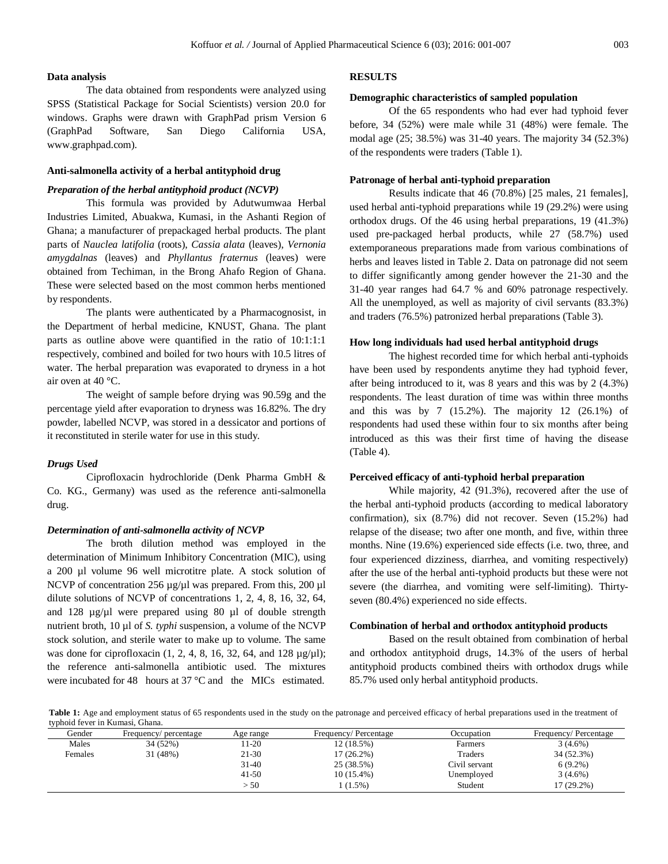#### **Data analysis**

The data obtained from respondents were analyzed using SPSS (Statistical Package for Social Scientists) version 20.0 for windows. Graphs were drawn with GraphPad prism Version 6 (GraphPad Software, San Diego California USA, [www.graphpad.com\)](http://www.graphpad.com/).

#### **Anti-salmonella activity of a herbal antityphoid drug**

# *Preparation of the herbal antityphoid product (NCVP)*

This formula was provided by Adutwumwaa Herbal Industries Limited, Abuakwa, Kumasi, in the Ashanti Region of Ghana; a manufacturer of prepackaged herbal products. The plant parts of *Nauclea latifolia* (roots), *Cassia alata* (leaves), *Vernonia amygdalnas* (leaves) and *Phyllantus fraternus* (leaves) were obtained from Techiman, in the Brong Ahafo Region of Ghana. These were selected based on the most common herbs mentioned by respondents.

The plants were authenticated by a Pharmacognosist, in the Department of herbal medicine, KNUST, Ghana. The plant parts as outline above were quantified in the ratio of 10:1:1:1 respectively, combined and boiled for two hours with 10.5 litres of water. The herbal preparation was evaporated to dryness in a hot air oven at 40 °C.

The weight of sample before drying was 90.59g and the percentage yield after evaporation to dryness was 16.82%. The dry powder, labelled NCVP, was stored in a dessicator and portions of it reconstituted in sterile water for use in this study.

# *Drugs Used*

Ciprofloxacin hydrochloride (Denk Pharma GmbH & Co. KG., Germany) was used as the reference anti-salmonella drug.

### *Determination of anti-salmonella activity of NCVP*

The broth dilution method was employed in the determination of Minimum Inhibitory Concentration (MIC), using a 200 µl volume 96 well microtitre plate. A stock solution of NCVP of concentration 256 µg/µl was prepared. From this, 200 µl dilute solutions of NCVP of concentrations 1, 2, 4, 8, 16, 32, 64, and 128 µg/µl were prepared using 80 µl of double strength nutrient broth, 10 µl of *S. typhi* suspension, a volume of the NCVP stock solution, and sterile water to make up to volume. The same was done for ciprofloxacin  $(1, 2, 4, 8, 16, 32, 64, 4$  and  $128 \mu g/\mu l$ ; the reference anti-salmonella antibiotic used. The mixtures were incubated for 48 hours at 37 °C and the MICs estimated.

#### **RESULTS**

# **Demographic characteristics of sampled population**

Of the 65 respondents who had ever had typhoid fever before, 34 (52%) were male while 31 (48%) were female. The modal age (25; 38.5%) was 31-40 years. The majority 34 (52.3%) of the respondents were traders (Table 1).

# **Patronage of herbal anti-typhoid preparation**

Results indicate that 46 (70.8%) [25 males, 21 females], used herbal anti-typhoid preparations while 19 (29.2%) were using orthodox drugs. Of the 46 using herbal preparations, 19 (41.3%) used pre-packaged herbal products, while 27 (58.7%) used extemporaneous preparations made from various combinations of herbs and leaves listed in Table 2. Data on patronage did not seem to differ significantly among gender however the 21-30 and the 31-40 year ranges had 64.7 % and 60% patronage respectively. All the unemployed, as well as majority of civil servants (83.3%) and traders (76.5%) patronized herbal preparations (Table 3).

## **How long individuals had used herbal antityphoid drugs**

The highest recorded time for which herbal anti-typhoids have been used by respondents anytime they had typhoid fever, after being introduced to it, was 8 years and this was by 2 (4.3%) respondents. The least duration of time was within three months and this was by  $7$  (15.2%). The majority 12 (26.1%) of respondents had used these within four to six months after being introduced as this was their first time of having the disease (Table 4).

## **Perceived efficacy of anti-typhoid herbal preparation**

While majority, 42 (91.3%), recovered after the use of the herbal anti-typhoid products (according to medical laboratory confirmation), six (8.7%) did not recover. Seven (15.2%) had relapse of the disease; two after one month, and five, within three months. Nine (19.6%) experienced side effects (i.e. two, three, and four experienced dizziness, diarrhea, and vomiting respectively) after the use of the herbal anti-typhoid products but these were not severe (the diarrhea, and vomiting were self-limiting). Thirtyseven (80.4%) experienced no side effects.

#### **Combination of herbal and orthodox antityphoid products**

Based on the result obtained from combination of herbal and orthodox antityphoid drugs, 14.3% of the users of herbal antityphoid products combined theirs with orthodox drugs while 85.7% used only herbal antityphoid products.

Table 1: Age and employment status of 65 respondents used in the study on the patronage and perceived efficacy of herbal preparations used in the treatment of typhoid fever in Kumasi, Ghana.

| . .<br>Gender | Frequency/percentage | Age range | Frequency/Percentage | Occupation    | Frequency/Percentage |
|---------------|----------------------|-----------|----------------------|---------------|----------------------|
| Males         | 34 (52%)             | $1 - 20$  | 12 (18.5%)           | Farmers       | $3(4.6\%)$           |
| Females       | 31 (48%)             | 21-30     | 17 (26.2%)           | Traders       | 34 (52.3%)           |
|               |                      | $31-40$   | 25 (38.5%)           | Civil servant | $6(9.2\%)$           |
|               |                      | $41 - 50$ | $10(15.4\%)$         | Unemployed    | $3(4.6\%)$           |
|               |                      | > 50      | $(1.5\%)$            | Student       | 17 (29.2%)           |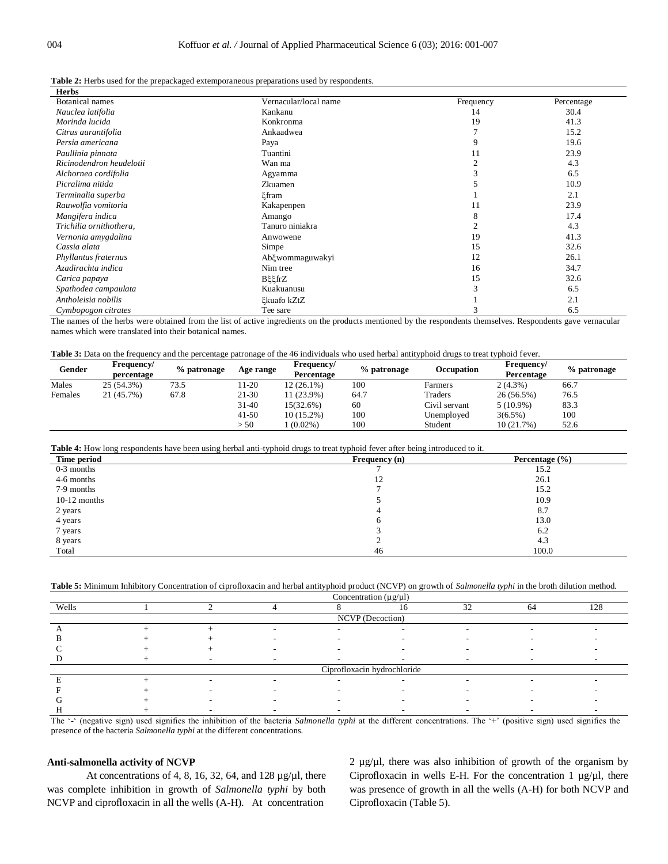| <b>Herbs</b>             |                       |           |            |
|--------------------------|-----------------------|-----------|------------|
| <b>Botanical names</b>   | Vernacular/local name | Frequency | Percentage |
| Nauclea latifolia        | Kankanu               | 14        | 30.4       |
| Morinda lucida           | Konkronma             | 19        | 41.3       |
| Citrus aurantifolia      | Ankaadwea             |           | 15.2       |
| Persia americana         | Paya                  | 9         | 19.6       |
| Paullinia pinnata        | Tuantini              | 11        | 23.9       |
| Ricinodendron heudelotii | Wan ma                |           | 4.3        |
| Alchornea cordifolia     | Agyamma               |           | 6.5        |
| Picralima nitida         | Zkuamen               |           | 10.9       |
| Terminalia superba       | ξfram                 |           | 2.1        |
| Rauwolfia vomitoria      | Kakapenpen            | 11        | 23.9       |
| Mangifera indica         | Amango                | 8         | 17.4       |
| Trichilia ornithothera,  | Tanuro niniakra       | 2         | 4.3        |
| Vernonia amygdalina      | Anwowene              | 19        | 41.3       |
| Cassia alata             | Simpe                 | 15        | 32.6       |
| Phyllantus fraternus     | Abčwommaguwakyi       | 12        | 26.1       |
| Azadirachta indica       | Nim tree              | 16        | 34.7       |
| Carica papaya            | ΒξξfrZ                | 15        | 32.6       |
| Spathodea campaulata     | Kuakuanusu            | 3         | 6.5        |
| Antholeisia nobilis      | čkuafo kZtZ           |           | 2.1        |
| Cymbopogon citrates      | Tee sare              |           | 6.5        |

The names of the herbs were obtained from the list of active ingredients on the products mentioned by the respondents themselves. Respondents gave vernacular names which were translated into their botanical names.

| Table 3: Data on the frequency and the percentage patronage of the 46 individuals who used herbal antityphoid drugs to treat typhoid fever. |  |  |  |  |  |  |  |
|---------------------------------------------------------------------------------------------------------------------------------------------|--|--|--|--|--|--|--|
|---------------------------------------------------------------------------------------------------------------------------------------------|--|--|--|--|--|--|--|

| Gender  | <b>Frequency</b><br>percentage | $%$ patronage | Age range | <b>Frequency</b><br>Percentage | % patronage | Occupation    | Frequency/<br>Percentage | % patronage |
|---------|--------------------------------|---------------|-----------|--------------------------------|-------------|---------------|--------------------------|-------------|
| Males   | 25 (54.3%)                     | 73.5          | 11-20     | 12 (26.1%)                     | 100         | Farmers       | $2(4.3\%)$               | 66.7        |
| Females | 21 (45.7%)                     | 67.8          | 21-30     | 11 (23.9%)                     | 64.7        | Traders       | 26 (56.5%)               | 76.5        |
|         |                                |               | $31-40$   | 15(32.6%)                      | 60          | Civil servant | $5(10.9\%)$              | 83.3        |
|         |                                |               | $41 - 50$ | $10(15.2\%)$                   | 100         | Unemployed    | 3(6.5%)                  | 100         |
|         |                                |               | > 50      | $(0.02\%)$                     | 100         | Student       | 10(21.7%)                | 52.6        |

#### **Table 4:** How long respondents have been using herbal anti-typhoid drugs to treat typhoid fever after being introduced to it.

| . .<br>Time period | . .<br>Frequency $(n)$ | Percentage $(\% )$ |
|--------------------|------------------------|--------------------|
| $0-3$ months       |                        | 15.2               |
| 4-6 months         | 12                     | 26.1               |
| 7-9 months         |                        | 15.2               |
| $10-12$ months     |                        | 10.9               |
| 2 years            |                        | 8.7                |
| 4 years            | r                      | 13.0               |
| 7 years            |                        | 6.2                |
| 8 years            |                        | 4.3                |
| Total              | 46                     | 100.0              |

|  |  |  | Table 5: Minimum Inhibitory Concentration of ciprofloxacin and herbal antityphoid product (NCVP) on growth of Salmonella typhi in the broth dilution method. |
|--|--|--|--------------------------------------------------------------------------------------------------------------------------------------------------------------|
|  |  |  |                                                                                                                                                              |

|       |  |                          | Concentration $(\mu g/\mu l)$ |    |    |     |
|-------|--|--------------------------|-------------------------------|----|----|-----|
| Wells |  |                          | 16                            | 32 | 64 | 128 |
|       |  |                          | NCVP (Decoction)              |    |    |     |
|       |  | $\overline{\phantom{0}}$ | $\overline{\phantom{a}}$      | -  |    |     |
|       |  | $\sim$                   |                               |    |    |     |
|       |  |                          |                               |    |    |     |
|       |  |                          |                               |    |    |     |
|       |  |                          | Ciprofloxacin hydrochloride   |    |    |     |
|       |  | $\overline{\phantom{0}}$ |                               |    |    |     |
|       |  |                          |                               |    |    |     |
|       |  |                          |                               |    |    |     |
|       |  |                          |                               |    |    |     |

The '-' (negative sign) used signifies the inhibition of the bacteria *Salmonella typhi* at the different concentrations. The '+' (positive sign) used signifies the presence of the bacteria *Salmonella typhi* at the different concentrations.

# **Anti-salmonella activity of NCVP**

At concentrations of 4, 8, 16, 32, 64, and 128  $\mu$ g/ $\mu$ l, there was complete inhibition in growth of *Salmonella typhi* by both NCVP and ciprofloxacin in all the wells (A-H). At concentration

2  $\mu$ g/ $\mu$ l, there was also inhibition of growth of the organism by Ciprofloxacin in wells E-H. For the concentration 1  $\mu$ g/ $\mu$ l, there was presence of growth in all the wells (A-H) for both NCVP and Ciprofloxacin (Table 5).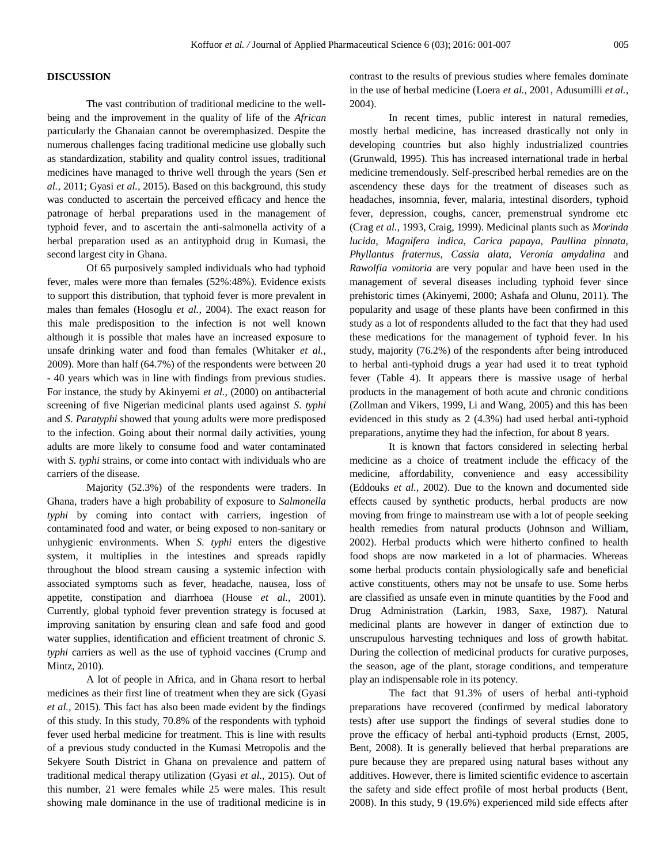### **DISCUSSION**

The vast contribution of traditional medicine to the wellbeing and the improvement in the quality of life of the *African* particularly the Ghanaian cannot be overemphasized. Despite the numerous challenges facing traditional medicine use globally such as standardization, stability and quality control issues, traditional medicines have managed to thrive well through the years (Sen *et al.,* 2011; Gyasi *et al.,* 2015). Based on this background, this study was conducted to ascertain the perceived efficacy and hence the patronage of herbal preparations used in the management of typhoid fever, and to ascertain the anti-salmonella activity of a herbal preparation used as an antityphoid drug in Kumasi, the second largest city in Ghana.

Of 65 purposively sampled individuals who had typhoid fever, males were more than females (52%:48%). Evidence exists to support this distribution, that typhoid fever is more prevalent in males than females (Hosoglu *et al.,* 2004). The exact reason for this male predisposition to the infection is not well known although it is possible that males have an increased exposure to unsafe drinking water and food than females (Whitaker *et al.,* 2009). More than half (64.7%) of the respondents were between 20 - 40 years which was in line with findings from previous studies. For instance, the study by Akinyemi *et al.,* (2000) on antibacterial screening of five Nigerian medicinal plants used against *S*. *typhi* and *S*. *Paratyphi* showed that young adults were more predisposed to the infection. Going about their normal daily activities, young adults are more likely to consume food and water contaminated with *S. typhi* strains, or come into contact with individuals who are carriers of the disease.

Majority (52.3%) of the respondents were traders. In Ghana, traders have a high probability of exposure to *Salmonella typhi* by coming into contact with carriers, ingestion of contaminated food and water, or being exposed to non-sanitary or unhygienic environments. When *S. typhi* enters the digestive system, it multiplies in the intestines and spreads rapidly throughout the blood stream causing a systemic infection with associated symptoms such as fever, headache, nausea, loss of appetite, constipation and diarrhoea (House *et al.,* 2001). Currently, global typhoid fever prevention strategy is focused at improving sanitation by ensuring clean and safe food and good water supplies, identification and efficient treatment of chronic *S. typhi* carriers as well as the use of typhoid vaccines (Crump and Mintz, 2010).

A lot of people in Africa, and in Ghana resort to herbal medicines as their first line of treatment when they are sick (Gyasi *et al.,* 2015). This fact has also been made evident by the findings of this study. In this study, 70.8% of the respondents with typhoid fever used herbal medicine for treatment. This is line with results of a previous study conducted in the Kumasi Metropolis and the Sekyere South District in Ghana on prevalence and pattern of traditional medical therapy utilization (Gyasi *et al.,* 2015). Out of this number, 21 were females while 25 were males. This result showing male dominance in the use of traditional medicine is in

contrast to the results of previous studies where females dominate in the use of herbal medicine (Loera *et al.,* 2001, Adusumilli *et al.,* 2004).

In recent times, public interest in natural remedies, mostly herbal medicine, has increased drastically not only in developing countries but also highly industrialized countries (Grunwald, 1995). This has increased international trade in herbal medicine tremendously. Self-prescribed herbal remedies are on the ascendency these days for the treatment of diseases such as headaches, insomnia, fever, malaria, intestinal disorders, typhoid fever, depression, coughs, cancer, premenstrual syndrome etc (Crag *et al.,* 1993, Craig, 1999). Medicinal plants such as *Morinda lucida, Magnifera indica, Carica papaya, Paullina pinnata, Phyllantus fraternus, Cassia alata, Veronia amydalina* and *Rawolfia vomitoria* are very popular and have been used in the management of several diseases including typhoid fever since prehistoric times (Akinyemi, 2000; Ashafa and Olunu, 2011). The popularity and usage of these plants have been confirmed in this study as a lot of respondents alluded to the fact that they had used these medications for the management of typhoid fever. In his study, majority (76.2%) of the respondents after being introduced to herbal anti-typhoid drugs a year had used it to treat typhoid fever (Table 4). It appears there is massive usage of herbal products in the management of both acute and chronic conditions (Zollman and Vikers, 1999, Li and Wang, 2005) and this has been evidenced in this study as 2 (4.3%) had used herbal anti-typhoid preparations, anytime they had the infection, for about 8 years.

It is known that factors considered in selecting herbal medicine as a choice of treatment include the efficacy of the medicine, affordability, convenience and easy accessibility (Eddouks *et al.,* 2002). Due to the known and documented side effects caused by synthetic products, herbal products are now moving from fringe to mainstream use with a lot of people seeking health remedies from natural products (Johnson and William, 2002). Herbal products which were hitherto confined to health food shops are now marketed in a lot of pharmacies. Whereas some herbal products contain physiologically safe and beneficial active constituents, others may not be unsafe to use. Some herbs are classified as unsafe even in minute quantities by the Food and Drug Administration (Larkin, 1983, Saxe, 1987). Natural medicinal plants are however in danger of extinction due to unscrupulous harvesting techniques and loss of growth habitat. During the collection of medicinal products for curative purposes, the season, age of the plant, storage conditions, and temperature play an indispensable role in its potency.

The fact that 91.3% of users of herbal anti-typhoid preparations have recovered (confirmed by medical laboratory tests) after use support the findings of several studies done to prove the efficacy of herbal anti-typhoid products (Ernst, 2005, Bent, 2008). It is generally believed that herbal preparations are pure because they are prepared using natural bases without any additives. However, there is limited scientific evidence to ascertain the safety and side effect profile of most herbal products (Bent, 2008). In this study, 9 (19.6%) experienced mild side effects after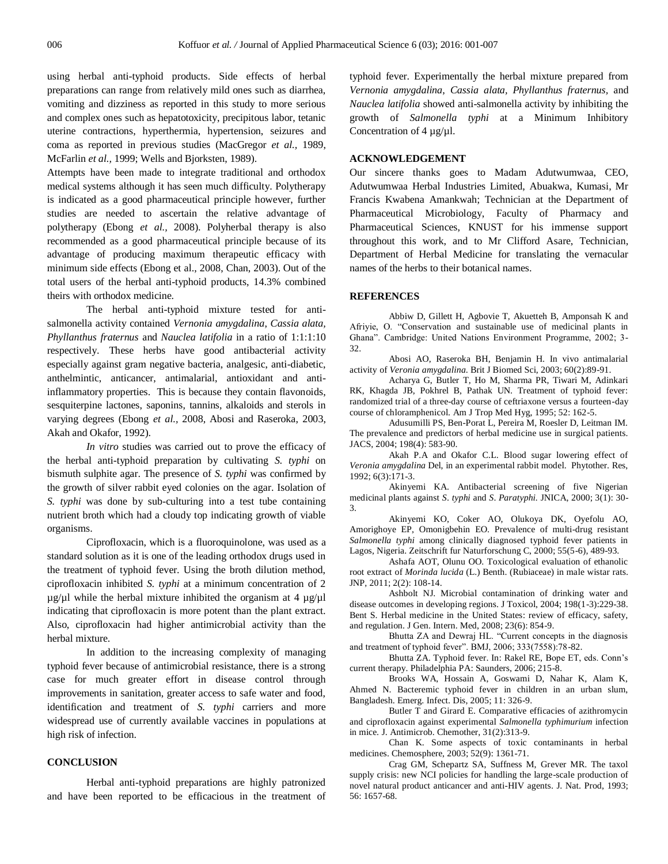using herbal anti-typhoid products. Side effects of herbal preparations can range from relatively mild ones such as diarrhea, vomiting and dizziness as reported in this study to more serious and complex ones such as hepatotoxicity, precipitous labor, tetanic uterine contractions, hyperthermia, hypertension, seizures and coma as reported in previous studies (MacGregor *et al.,* 1989, McFarlin *et al.,* 1999; Wells and Bjorksten, 1989).

Attempts have been made to integrate traditional and orthodox medical systems although it has seen much difficulty. Polytherapy is indicated as a good pharmaceutical principle however, further studies are needed to ascertain the relative advantage of polytherapy (Ebong *et al.,* 2008). Polyherbal therapy is also recommended as a good pharmaceutical principle because of its advantage of producing maximum therapeutic efficacy with minimum side effects (Ebong et al., 2008, Chan, 2003). Out of the total users of the herbal anti-typhoid products, 14.3% combined theirs with orthodox medicine.

The herbal anti-typhoid mixture tested for antisalmonella activity contained *Vernonia amygdalina*, *Cassia alata, Phyllanthus fraternus* and *Nauclea latifolia* in a ratio of 1:1:1:10 respectively. These herbs have good antibacterial activity especially against gram negative bacteria, analgesic, anti-diabetic, anthelmintic, anticancer, antimalarial, antioxidant and antiinflammatory properties. This is because they contain flavonoids, sesquiterpine lactones, saponins, tannins, alkaloids and sterols in varying degrees (Ebong *et al.,* 2008, Abosi and Raseroka, 2003, Akah and Okafor, 1992).

*In vitro* studies was carried out to prove the efficacy of the herbal anti-typhoid preparation by cultivating *S. typhi* on bismuth sulphite agar. The presence of *S. typhi* was confirmed by the growth of silver rabbit eyed colonies on the agar. Isolation of *S. typhi* was done by sub-culturing into a test tube containing nutrient broth which had a cloudy top indicating growth of viable organisms.

Ciprofloxacin, which is a fluoroquinolone, was used as a standard solution as it is one of the leading orthodox drugs used in the treatment of typhoid fever. Using the broth dilution method, ciprofloxacin inhibited *S. typhi* at a minimum concentration of 2  $\mu$ g/ $\mu$ l while the herbal mixture inhibited the organism at 4  $\mu$ g/ $\mu$ l indicating that ciprofloxacin is more potent than the plant extract. Also, ciprofloxacin had higher antimicrobial activity than the herbal mixture.

In addition to the increasing complexity of managing typhoid fever because of antimicrobial resistance, there is a strong case for much greater effort in disease control through improvements in sanitation, greater access to safe water and food, identification and treatment of *S. typhi* carriers and more widespread use of currently available vaccines in populations at high risk of infection.

# **CONCLUSION**

Herbal anti-typhoid preparations are highly patronized and have been reported to be efficacious in the treatment of typhoid fever. Experimentally the herbal mixture prepared from *Vernonia amygdalina*, *Cassia alata, Phyllanthus fraternus,* and *Nauclea latifolia* showed anti-salmonella activity by inhibiting the growth of *Salmonella typhi* at a Minimum Inhibitory Concentration of 4 µg/µl.

#### **ACKNOWLEDGEMENT**

Our sincere thanks goes to Madam Adutwumwaa, CEO, Adutwumwaa Herbal Industries Limited, Abuakwa, Kumasi, Mr Francis Kwabena Amankwah; Technician at the Department of Pharmaceutical Microbiology, Faculty of Pharmacy and Pharmaceutical Sciences, KNUST for his immense support throughout this work, and to Mr Clifford Asare, Technician, Department of Herbal Medicine for translating the vernacular names of the herbs to their botanical names.

#### **REFERENCES**

Abbiw D, Gillett H, Agbovie T, Akuetteh B, Amponsah K and Afriyie, O. "Conservation and sustainable use of medicinal plants in Ghana". Cambridge: United Nations Environment Programme, 2002; 3- 32.

Abosi AO, Raseroka BH, Benjamin H. In vivo antimalarial activity of *Veronia amygdalina*. Brit J Biomed Sci, 2003; 60(2):89-91.

Acharya G, Butler T, Ho M, Sharma PR, Tiwari M, Adinkari RK, Khagda JB, Pokhrel B, Pathak UN. Treatment of typhoid fever: randomized trial of a three-day course of ceftriaxone versus a fourteen-day course of chloramphenicol. Am J Trop Med Hyg, 1995; 52: 162-5.

Adusumilli PS, Ben-Porat L, Pereira M, Roesler D, Leitman IM. The prevalence and predictors of herbal medicine use in surgical patients. JACS, 2004; 198(4): 583-90.

Akah P.A and Okafor C.L. Blood sugar lowering effect of *Veronia amygdalina* Del, in an experimental rabbit model. Phytother. Res, 1992; 6(3):171-3.

Akinyemi KA. Antibacterial screening of five Nigerian medicinal plants against *S*. *typhi* and *S*. *Paratyphi.* JNICA, 2000; 3(1): 30- 3.

Akinyemi KO, Coker AO, Olukoya DK, Oyefolu AO, Amorighoye EP, Omonigbehin EO. Prevalence of multi-drug resistant *Salmonella typhi* among clinically diagnosed typhoid fever patients in Lagos, Nigeria. Zeitschrift fur Naturforschung C, 2000; 55(5-6), 489-93.

Ashafa AOT, Olunu OO. Toxicological evaluation of ethanolic root extract of *Morinda lucida* (L.) Benth. (Rubiaceae) in male wistar rats. JNP, 2011; 2(2): 108-14.

Ashbolt NJ. Microbial contamination of drinking water and disease outcomes in developing regions. J Toxicol, 2004; 198(1-3):229-38. Bent S. Herbal medicine in the United States: review of efficacy, safety, and regulation. J Gen. Intern. Med, 2008; 23(6): 854-9.

Bhutta ZA and Dewraj HL. "Current concepts in the diagnosis and treatment of typhoid fever". BMJ, 2006; 333(7558):78-82.

Bhutta ZA. Typhoid fever. In: Rakel RE, Bope ET, eds. Conn's current therapy. Philadelphia PA: Saunders, 2006; 215-8.

Brooks WA, Hossain A, Goswami D, Nahar K, Alam K, Ahmed N. Bacteremic typhoid fever in children in an urban slum, Bangladesh. Emerg. Infect. Dis, 2005; 11: 326-9.

Butler T and Girard E. Comparative efficacies of azithromycin and ciprofloxacin against experimental *Salmonella typhimurium* infection in mice. J. Antimicrob. Chemother, 31(2):313-9.

Chan K. Some aspects of toxic contaminants in herbal medicines. Chemosphere, 2003; 52(9): 1361-71.

Crag GM, Schepartz SA, Suffness M, Grever MR. The taxol supply crisis: new NCI policies for handling the large-scale production of novel natural product anticancer and anti-HIV agents. J. Nat. Prod, 1993; 56: 1657-68.